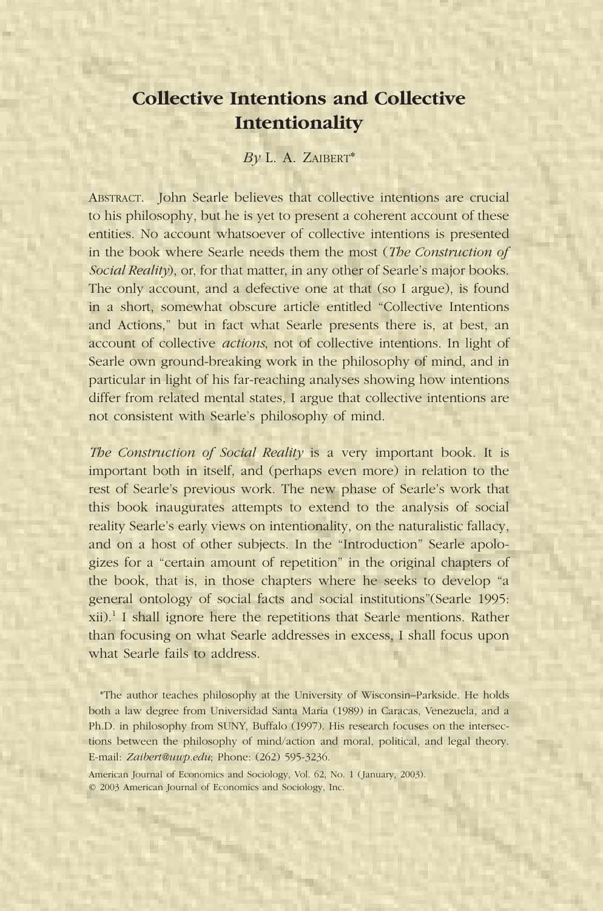# **Collective Intentions and Collective Intentionality**

*By* L. A. ZAIBERT\*

ABSTRACT. John Searle believes that collective intentions are crucial to his philosophy, but he is yet to present a coherent account of these entities. No account whatsoever of collective intentions is presented in the book where Searle needs them the most (*The Construction of Social Reality*), or, for that matter, in any other of Searle's major books. The only account, and a defective one at that (so I argue), is found in a short, somewhat obscure article entitled "Collective Intentions and Actions," but in fact what Searle presents there is, at best, an account of collective *actions*, not of collective intentions. In light of Searle own ground-breaking work in the philosophy of mind, and in particular in light of his far-reaching analyses showing how intentions differ from related mental states, I argue that collective intentions are not consistent with Searle's philosophy of mind.

*The Construction of Social Reality* is a very important book. It is important both in itself, and (perhaps even more) in relation to the rest of Searle's previous work. The new phase of Searle's work that this book inaugurates attempts to extend to the analysis of social reality Searle's early views on intentionality, on the naturalistic fallacy, and on a host of other subjects. In the "Introduction" Searle apologizes for a "certain amount of repetition" in the original chapters of the book, that is, in those chapters where he seeks to develop "a general ontology of social facts and social institutions"(Searle 1995: xii).1 I shall ignore here the repetitions that Searle mentions. Rather than focusing on what Searle addresses in excess, I shall focus upon what Searle fails to address.

\*The author teaches philosophy at the University of Wisconsin–Parkside. He holds both a law degree from Universidad Santa María (1989) in Caracas, Venezuela, and a Ph.D. in philosophy from SUNY, Buffalo (1997). His research focuses on the intersections between the philosophy of mind/action and moral, political, and legal theory. E-mail: *Zaibert@uwp.edu*; Phone: (262) 595-3236.

American Journal of Economics and Sociology, Vol. 62, No. 1 (January, 2003). © 2003 American Journal of Economics and Sociology, Inc.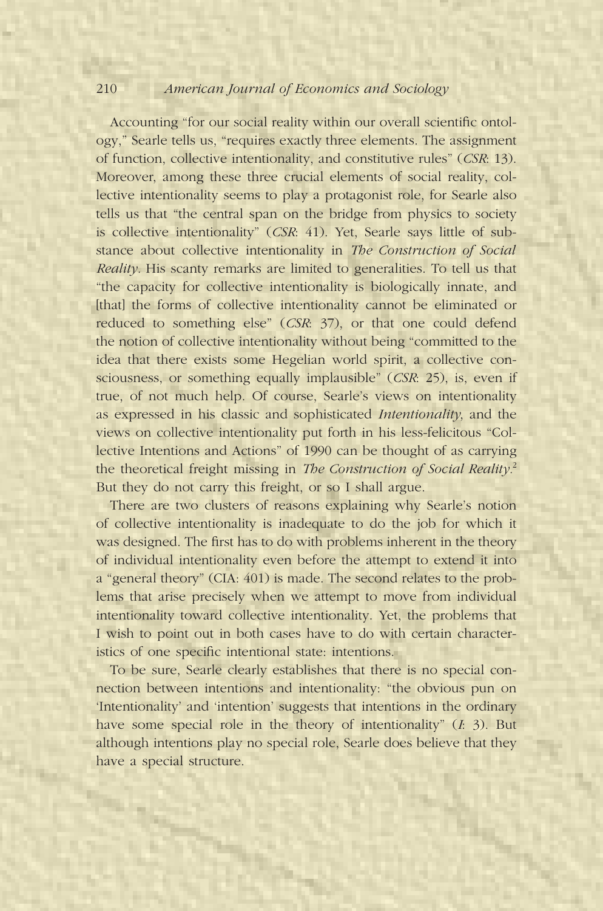Accounting "for our social reality within our overall scientific ontology," Searle tells us, "requires exactly three elements. The assignment of function, collective intentionality, and constitutive rules" (*CSR*: 13). Moreover, among these three crucial elements of social reality, collective intentionality seems to play a protagonist role, for Searle also tells us that "the central span on the bridge from physics to society is collective intentionality" (*CSR*: 41). Yet, Searle says little of substance about collective intentionality in *The Construction of Social Reality.* His scanty remarks are limited to generalities. To tell us that "the capacity for collective intentionality is biologically innate, and [that] the forms of collective intentionality cannot be eliminated or reduced to something else" (*CSR*: 37), or that one could defend the notion of collective intentionality without being "committed to the idea that there exists some Hegelian world spirit, a collective consciousness, or something equally implausible" (*CSR*: 25), is, even if true, of not much help. Of course, Searle's views on intentionality as expressed in his classic and sophisticated *Intentionality*, and the views on collective intentionality put forth in his less-felicitous "Collective Intentions and Actions" of 1990 can be thought of as carrying the theoretical freight missing in *The Construction of Social Reality.*<sup>2</sup> But they do not carry this freight, or so I shall argue.

There are two clusters of reasons explaining why Searle's notion of collective intentionality is inadequate to do the job for which it was designed. The first has to do with problems inherent in the theory of individual intentionality even before the attempt to extend it into a "general theory" (CIA: 401) is made. The second relates to the problems that arise precisely when we attempt to move from individual intentionality toward collective intentionality. Yet, the problems that I wish to point out in both cases have to do with certain characteristics of one specific intentional state: intentions.

To be sure, Searle clearly establishes that there is no special connection between intentions and intentionality: "the obvious pun on 'Intentionality' and 'intention' suggests that intentions in the ordinary have some special role in the theory of intentionality" (*I*: 3). But although intentions play no special role, Searle does believe that they have a special structure.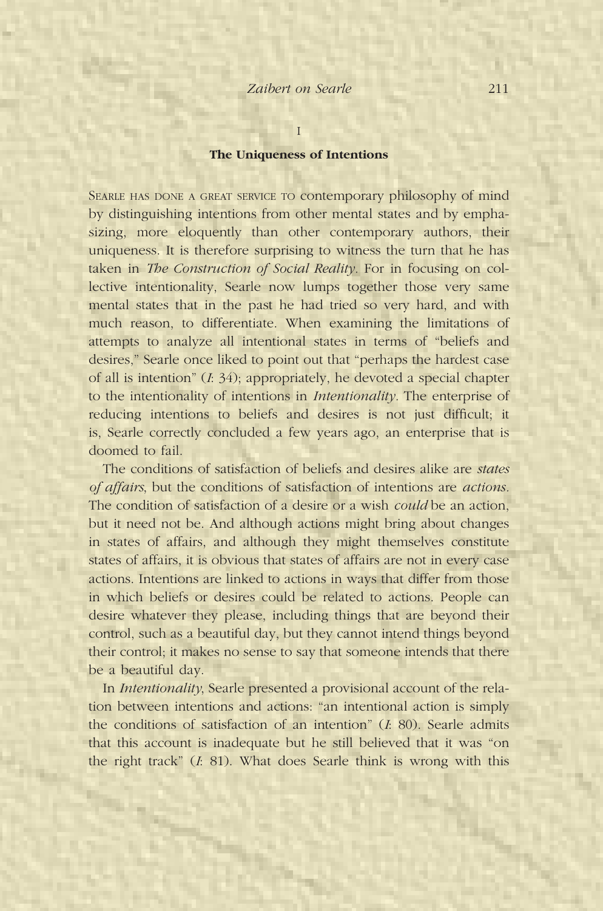# I **The Uniqueness of Intentions**

SEARLE HAS DONE A GREAT SERVICE TO contemporary philosophy of mind by distinguishing intentions from other mental states and by emphasizing, more eloquently than other contemporary authors, their uniqueness. It is therefore surprising to witness the turn that he has taken in *The Construction of Social Reality.* For in focusing on collective intentionality, Searle now lumps together those very same mental states that in the past he had tried so very hard, and with much reason, to differentiate. When examining the limitations of attempts to analyze all intentional states in terms of "beliefs and desires," Searle once liked to point out that "perhaps the hardest case of all is intention" (*I*: 34); appropriately, he devoted a special chapter to the intentionality of intentions in *Intentionality.* The enterprise of reducing intentions to beliefs and desires is not just difficult; it is, Searle correctly concluded a few years ago, an enterprise that is doomed to fail.

The conditions of satisfaction of beliefs and desires alike are *states of affairs*, but the conditions of satisfaction of intentions are *actions.* The condition of satisfaction of a desire or a wish *could* be an action, but it need not be. And although actions might bring about changes in states of affairs, and although they might themselves constitute states of affairs, it is obvious that states of affairs are not in every case actions. Intentions are linked to actions in ways that differ from those in which beliefs or desires could be related to actions. People can desire whatever they please, including things that are beyond their control, such as a beautiful day, but they cannot intend things beyond their control; it makes no sense to say that someone intends that there be a beautiful day.

In *Intentionality*, Searle presented a provisional account of the relation between intentions and actions: "an intentional action is simply the conditions of satisfaction of an intention" (*I*: 80). Searle admits that this account is inadequate but he still believed that it was "on the right track" (*I*: 81). What does Searle think is wrong with this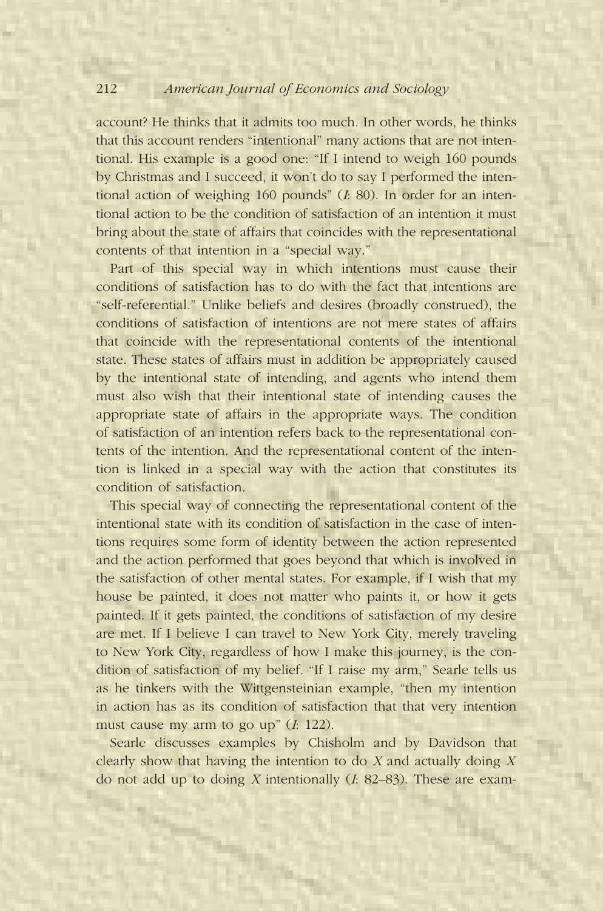account? He thinks that it admits too much. In other words, he thinks that this account renders "intentional" many actions that are not intentional. His example is a good one: "If I intend to weigh 160 pounds by Christmas and I succeed, it won't do to say I performed the intentional action of weighing 160 pounds" (*I*: 80). In order for an intentional action to be the condition of satisfaction of an intention it must bring about the state of affairs that coincides with the representational contents of that intention in a "special way."

Part of this special way in which intentions must cause their conditions of satisfaction has to do with the fact that intentions are "self-referential." Unlike beliefs and desires (broadly construed), the conditions of satisfaction of intentions are not mere states of affairs that coincide with the representational contents of the intentional state. These states of affairs must in addition be appropriately caused by the intentional state of intending, and agents who intend them must also wish that their intentional state of intending causes the appropriate state of affairs in the appropriate ways. The condition of satisfaction of an intention refers back to the representational contents of the intention. And the representational content of the intention is linked in a special way with the action that constitutes its condition of satisfaction.

This special way of connecting the representational content of the intentional state with its condition of satisfaction in the case of intentions requires some form of identity between the action represented and the action performed that goes beyond that which is involved in the satisfaction of other mental states. For example, if I wish that my house be painted, it does not matter who paints it, or how it gets painted. If it gets painted, the conditions of satisfaction of my desire are met. If I believe I can travel to New York City, merely traveling to New York City, regardless of how I make this journey, is the condition of satisfaction of my belief. "If I raise my arm," Searle tells us as he tinkers with the Wittgensteinian example, "then my intention in action has as its condition of satisfaction that that very intention must cause my arm to go up" (*I*: 122).

Searle discusses examples by Chisholm and by Davidson that clearly show that having the intention to do *X* and actually doing *X* do not add up to doing *X* intentionally (*I*: 82–83). These are exam-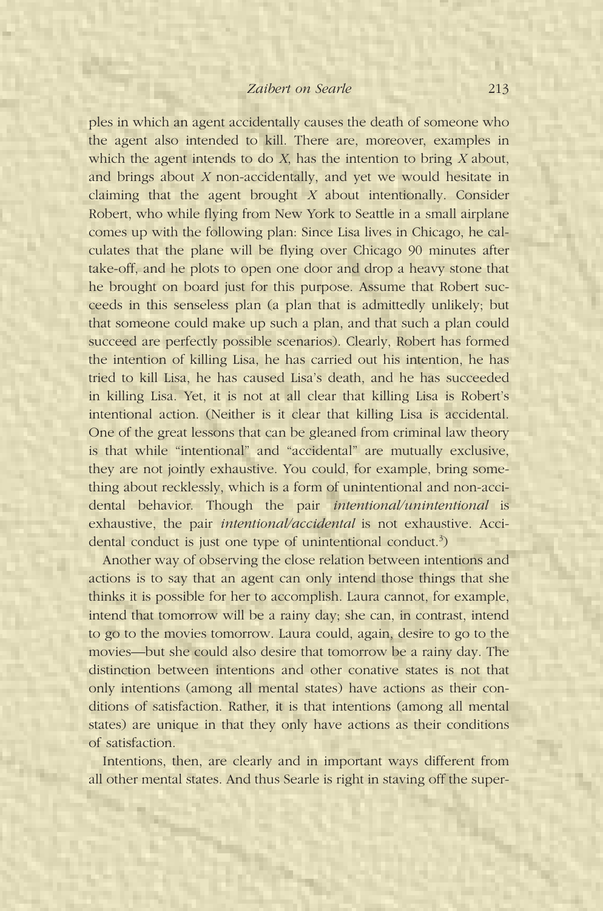ples in which an agent accidentally causes the death of someone who the agent also intended to kill. There are, moreover, examples in which the agent intends to do *X*, has the intention to bring *X* about, and brings about *X* non-accidentally, and yet we would hesitate in claiming that the agent brought *X* about intentionally. Consider Robert, who while flying from New York to Seattle in a small airplane comes up with the following plan: Since Lisa lives in Chicago, he calculates that the plane will be flying over Chicago 90 minutes after take-off, and he plots to open one door and drop a heavy stone that he brought on board just for this purpose. Assume that Robert succeeds in this senseless plan (a plan that is admittedly unlikely; but that someone could make up such a plan, and that such a plan could succeed are perfectly possible scenarios). Clearly, Robert has formed the intention of killing Lisa, he has carried out his intention, he has tried to kill Lisa, he has caused Lisa's death, and he has succeeded in killing Lisa. Yet, it is not at all clear that killing Lisa is Robert's intentional action. (Neither is it clear that killing Lisa is accidental. One of the great lessons that can be gleaned from criminal law theory is that while "intentional" and "accidental" are mutually exclusive, they are not jointly exhaustive. You could, for example, bring something about recklessly, which is a form of unintentional and non-accidental behavior. Though the pair *intentional/unintentional* is exhaustive, the pair *intentional/accidental* is not exhaustive. Accidental conduct is just one type of unintentional conduct.<sup>3</sup>)

Another way of observing the close relation between intentions and actions is to say that an agent can only intend those things that she thinks it is possible for her to accomplish. Laura cannot, for example, intend that tomorrow will be a rainy day; she can, in contrast, intend to go to the movies tomorrow. Laura could, again, desire to go to the movies—but she could also desire that tomorrow be a rainy day. The distinction between intentions and other conative states is not that only intentions (among all mental states) have actions as their conditions of satisfaction. Rather, it is that intentions (among all mental states) are unique in that they only have actions as their conditions of satisfaction.

Intentions, then, are clearly and in important ways different from all other mental states. And thus Searle is right in staving off the super-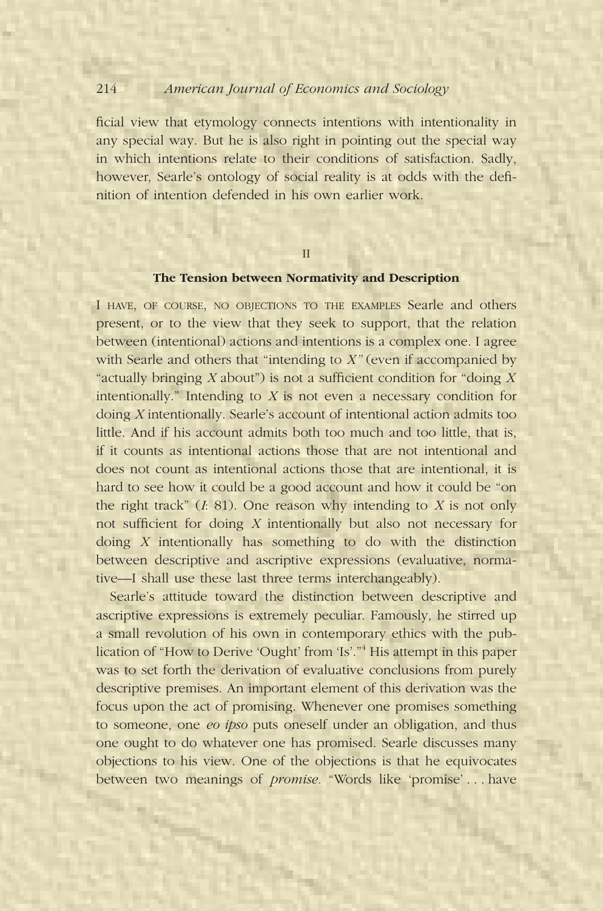ficial view that etymology connects intentions with intentionality in any special way. But he is also right in pointing out the special way in which intentions relate to their conditions of satisfaction. Sadly, however, Searle's ontology of social reality is at odds with the definition of intention defended in his own earlier work.

#### II

#### **The Tension between Normativity and Description**

I HAVE, OF COURSE, NO OBJECTIONS TO THE EXAMPLES Searle and others present, or to the view that they seek to support, that the relation between (intentional) actions and intentions is a complex one. I agree with Searle and others that "intending to *X"* (even if accompanied by "actually bringing *X* about") is not a sufficient condition for "doing *X* intentionally." Intending to *X* is not even a necessary condition for doing *X* intentionally. Searle's account of intentional action admits too little. And if his account admits both too much and too little, that is, if it counts as intentional actions those that are not intentional and does not count as intentional actions those that are intentional, it is hard to see how it could be a good account and how it could be "on the right track" (*I*: 81). One reason why intending to *X* is not only not sufficient for doing *X* intentionally but also not necessary for doing *X* intentionally has something to do with the distinction between descriptive and ascriptive expressions (evaluative, normative—I shall use these last three terms interchangeably).

Searle's attitude toward the distinction between descriptive and ascriptive expressions is extremely peculiar. Famously, he stirred up a small revolution of his own in contemporary ethics with the publication of "How to Derive 'Ought' from 'Is'."4 His attempt in this paper was to set forth the derivation of evaluative conclusions from purely descriptive premises. An important element of this derivation was the focus upon the act of promising. Whenever one promises something to someone, one *eo ipso* puts oneself under an obligation, and thus one ought to do whatever one has promised. Searle discusses many objections to his view. One of the objections is that he equivocates between two meanings of *promise.* "Words like 'promise' ... have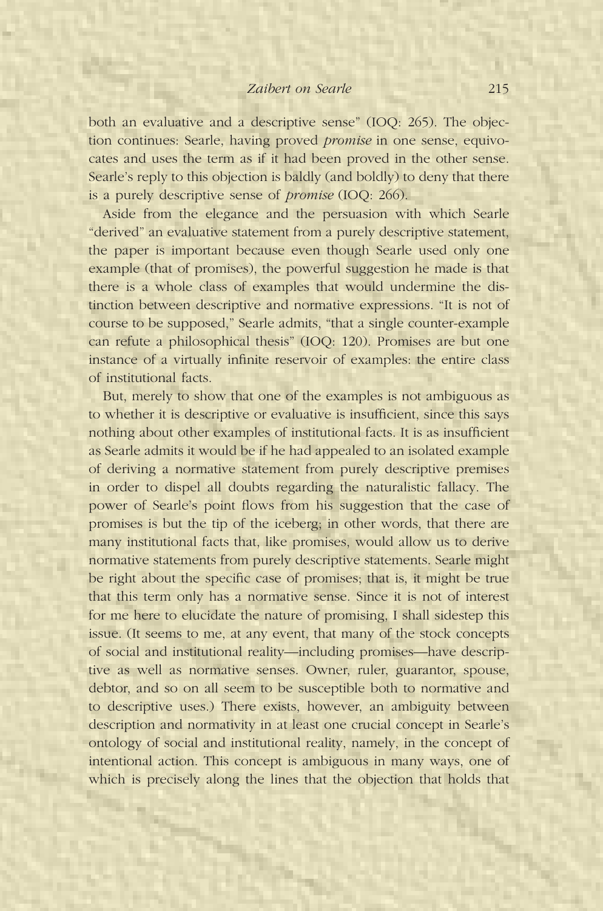both an evaluative and a descriptive sense" (IOQ: 265). The objection continues: Searle, having proved *promise* in one sense, equivocates and uses the term as if it had been proved in the other sense. Searle's reply to this objection is baldly (and boldly) to deny that there is a purely descriptive sense of *promise* (IOQ: 266).

Aside from the elegance and the persuasion with which Searle "derived" an evaluative statement from a purely descriptive statement, the paper is important because even though Searle used only one example (that of promises), the powerful suggestion he made is that there is a whole class of examples that would undermine the distinction between descriptive and normative expressions. "It is not of course to be supposed," Searle admits, "that a single counter-example can refute a philosophical thesis" (IOQ: 120). Promises are but one instance of a virtually infinite reservoir of examples: the entire class of institutional facts.

But, merely to show that one of the examples is not ambiguous as to whether it is descriptive or evaluative is insufficient, since this says nothing about other examples of institutional facts. It is as insufficient as Searle admits it would be if he had appealed to an isolated example of deriving a normative statement from purely descriptive premises in order to dispel all doubts regarding the naturalistic fallacy. The power of Searle's point flows from his suggestion that the case of promises is but the tip of the iceberg; in other words, that there are many institutional facts that, like promises, would allow us to derive normative statements from purely descriptive statements. Searle might be right about the specific case of promises; that is, it might be true that this term only has a normative sense. Since it is not of interest for me here to elucidate the nature of promising, I shall sidestep this issue. (It seems to me, at any event, that many of the stock concepts of social and institutional reality—including promises—have descriptive as well as normative senses. Owner, ruler, guarantor, spouse, debtor, and so on all seem to be susceptible both to normative and to descriptive uses.) There exists, however, an ambiguity between description and normativity in at least one crucial concept in Searle's ontology of social and institutional reality, namely, in the concept of intentional action. This concept is ambiguous in many ways, one of which is precisely along the lines that the objection that holds that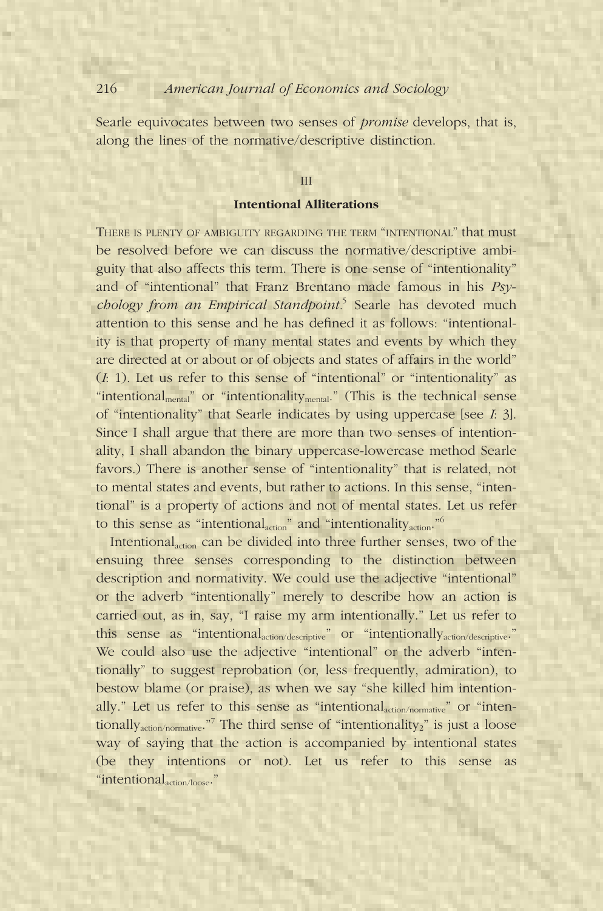Searle equivocates between two senses of *promise* develops, that is, along the lines of the normative/descriptive distinction.

#### III

#### **Intentional Alliterations**

THERE IS PLENTY OF AMBIGUITY REGARDING THE TERM "INTENTIONAL" that must be resolved before we can discuss the normative/descriptive ambiguity that also affects this term. There is one sense of "intentionality" and of "intentional" that Franz Brentano made famous in his *Psychology from an Empirical Standpoint.*<sup>5</sup> Searle has devoted much attention to this sense and he has defined it as follows: "intentionality is that property of many mental states and events by which they are directed at or about or of objects and states of affairs in the world" (*I*: 1). Let us refer to this sense of "intentional" or "intentionality" as "intentional $_{\text{mental}}$ " or "intentionality $_{\text{mental}}$ ." (This is the technical sense of "intentionality" that Searle indicates by using uppercase [see *I*: 3]. Since I shall argue that there are more than two senses of intentionality, I shall abandon the binary uppercase-lowercase method Searle favors.) There is another sense of "intentionality" that is related, not to mental states and events, but rather to actions. In this sense, "intentional" is a property of actions and not of mental states. Let us refer to this sense as "intentional<sub>action</sub>" and "intentionality<sub>action</sub>."<sup>6</sup>

Intentional<sub>action</sub> can be divided into three further senses, two of the ensuing three senses corresponding to the distinction between description and normativity. We could use the adjective "intentional" or the adverb "intentionally" merely to describe how an action is carried out, as in, say, "I raise my arm intentionally." Let us refer to this sense as "intentional<sub>action</sub>/descriptive" or "intentionally<sub>action</sub>/descriptive." We could also use the adjective "intentional" or the adverb "intentionally" to suggest reprobation (or, less frequently, admiration), to bestow blame (or praise), as when we say "she killed him intentionally." Let us refer to this sense as "intentional $_{\text{action/normative}}$ " or "intentionally<sub>action/normative</sub>."<sup>7</sup> The third sense of "intentionality<sub>2</sub>" is just a loose way of saying that the action is accompanied by intentional states (be they intentions or not). Let us refer to this sense as "intentionalaction/loose."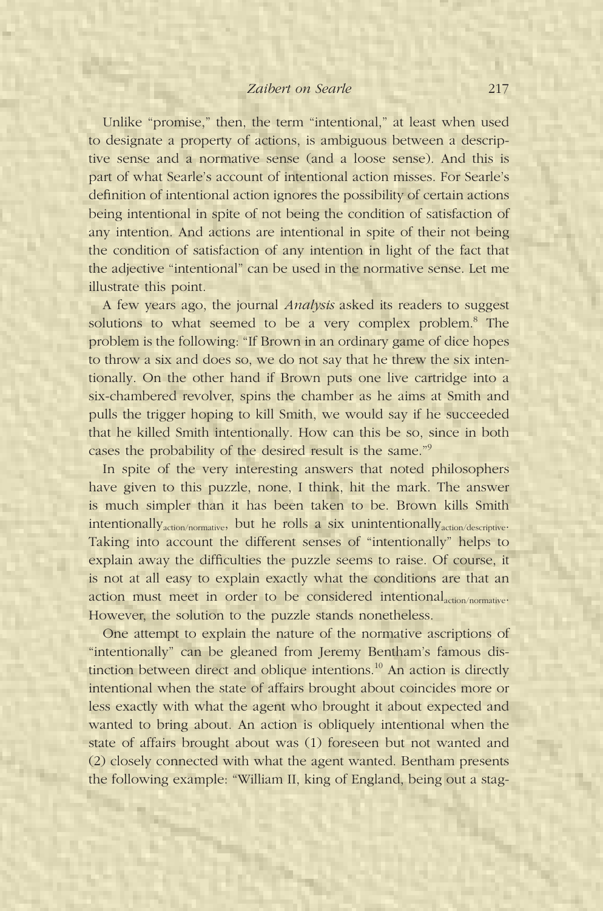Unlike "promise," then, the term "intentional," at least when used to designate a property of actions, is ambiguous between a descriptive sense and a normative sense (and a loose sense). And this is part of what Searle's account of intentional action misses. For Searle's definition of intentional action ignores the possibility of certain actions being intentional in spite of not being the condition of satisfaction of any intention. And actions are intentional in spite of their not being the condition of satisfaction of any intention in light of the fact that the adjective "intentional" can be used in the normative sense. Let me illustrate this point.

A few years ago, the journal *Analysis* asked its readers to suggest solutions to what seemed to be a very complex problem.<sup>8</sup> The problem is the following: "If Brown in an ordinary game of dice hopes to throw a six and does so, we do not say that he threw the six intentionally. On the other hand if Brown puts one live cartridge into a six-chambered revolver, spins the chamber as he aims at Smith and pulls the trigger hoping to kill Smith, we would say if he succeeded that he killed Smith intentionally. How can this be so, since in both cases the probability of the desired result is the same."9

In spite of the very interesting answers that noted philosophers have given to this puzzle, none, I think, hit the mark. The answer is much simpler than it has been taken to be. Brown kills Smith intentionally<sub>action/normative</sub>, but he rolls a six unintentionally<sub>action/descriptive</sub>. Taking into account the different senses of "intentionally" helps to explain away the difficulties the puzzle seems to raise. Of course, it is not at all easy to explain exactly what the conditions are that an action must meet in order to be considered intentional<sub>action/normative</sub>. However, the solution to the puzzle stands nonetheless.

One attempt to explain the nature of the normative ascriptions of "intentionally" can be gleaned from Jeremy Bentham's famous distinction between direct and oblique intentions.<sup>10</sup> An action is directly intentional when the state of affairs brought about coincides more or less exactly with what the agent who brought it about expected and wanted to bring about. An action is obliquely intentional when the state of affairs brought about was (1) foreseen but not wanted and (2) closely connected with what the agent wanted. Bentham presents the following example: "William II, king of England, being out a stag-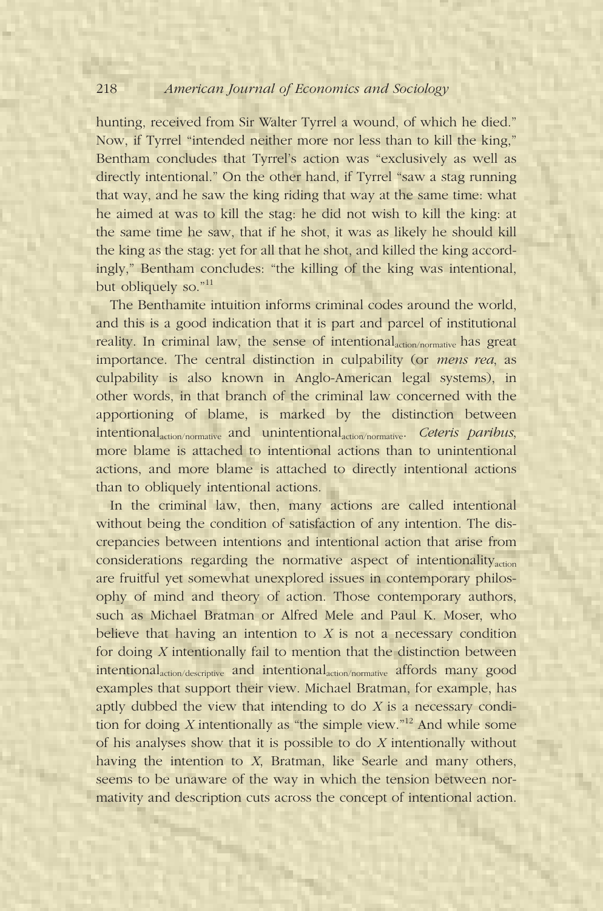hunting, received from Sir Walter Tyrrel a wound, of which he died." Now, if Tyrrel "intended neither more nor less than to kill the king," Bentham concludes that Tyrrel's action was "exclusively as well as directly intentional." On the other hand, if Tyrrel "saw a stag running that way, and he saw the king riding that way at the same time: what he aimed at was to kill the stag: he did not wish to kill the king: at the same time he saw, that if he shot, it was as likely he should kill the king as the stag: yet for all that he shot, and killed the king accordingly," Bentham concludes: "the killing of the king was intentional, but obliquely so."<sup>11</sup>

The Benthamite intuition informs criminal codes around the world, and this is a good indication that it is part and parcel of institutional reality. In criminal law, the sense of intentional $_{action/normative}$  has great importance. The central distinction in culpability (or *mens rea*, as culpability is also known in Anglo-American legal systems), in other words, in that branch of the criminal law concerned with the apportioning of blame, is marked by the distinction between intentionalaction/normative and unintentionalaction/normative. *Ceteris paribus*, more blame is attached to intentional actions than to unintentional actions, and more blame is attached to directly intentional actions than to obliquely intentional actions.

In the criminal law, then, many actions are called intentional without being the condition of satisfaction of any intention. The discrepancies between intentions and intentional action that arise from considerations regarding the normative aspect of intentionality $_{\text{action}}$ are fruitful yet somewhat unexplored issues in contemporary philosophy of mind and theory of action. Those contemporary authors, such as Michael Bratman or Alfred Mele and Paul K. Moser, who believe that having an intention to *X* is not a necessary condition for doing *X* intentionally fail to mention that the distinction between intentional<sub>action/descriptive</sub> and intentional<sub>action/normative</sub> affords many good examples that support their view. Michael Bratman, for example, has aptly dubbed the view that intending to do *X* is a necessary condition for doing *X* intentionally as "the simple view."12 And while some of his analyses show that it is possible to do *X* intentionally without having the intention to *X*, Bratman, like Searle and many others, seems to be unaware of the way in which the tension between normativity and description cuts across the concept of intentional action.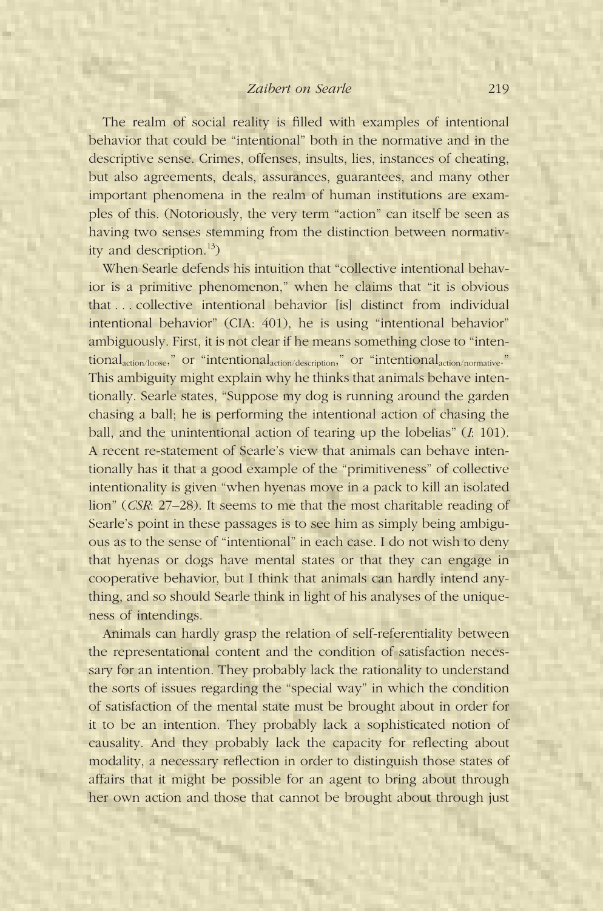The realm of social reality is filled with examples of intentional behavior that could be "intentional" both in the normative and in the descriptive sense. Crimes, offenses, insults, lies, instances of cheating, but also agreements, deals, assurances, guarantees, and many other important phenomena in the realm of human institutions are examples of this. (Notoriously, the very term "action" can itself be seen as having two senses stemming from the distinction between normativity and description. $^{13}$ )

When Searle defends his intuition that "collective intentional behavior is a primitive phenomenon," when he claims that "it is obvious that ... collective intentional behavior [is] distinct from individual intentional behavior" (CIA: 401), he is using "intentional behavior" ambiguously. First, it is not clear if he means something close to "intentional<sub>action/loose</sub>," or "intentional<sub>action/description</sub>," or "intentional<sub>action/normative</sub>." This ambiguity might explain why he thinks that animals behave intentionally. Searle states, "Suppose my dog is running around the garden chasing a ball; he is performing the intentional action of chasing the ball, and the unintentional action of tearing up the lobelias" (*I*: 101). A recent re-statement of Searle's view that animals can behave intentionally has it that a good example of the "primitiveness" of collective intentionality is given "when hyenas move in a pack to kill an isolated lion" (*CSR*: 27–28). It seems to me that the most charitable reading of Searle's point in these passages is to see him as simply being ambiguous as to the sense of "intentional" in each case. I do not wish to deny that hyenas or dogs have mental states or that they can engage in cooperative behavior, but I think that animals can hardly intend anything, and so should Searle think in light of his analyses of the uniqueness of intendings.

Animals can hardly grasp the relation of self-referentiality between the representational content and the condition of satisfaction necessary for an intention. They probably lack the rationality to understand the sorts of issues regarding the "special way" in which the condition of satisfaction of the mental state must be brought about in order for it to be an intention. They probably lack a sophisticated notion of causality. And they probably lack the capacity for reflecting about modality, a necessary reflection in order to distinguish those states of affairs that it might be possible for an agent to bring about through her own action and those that cannot be brought about through just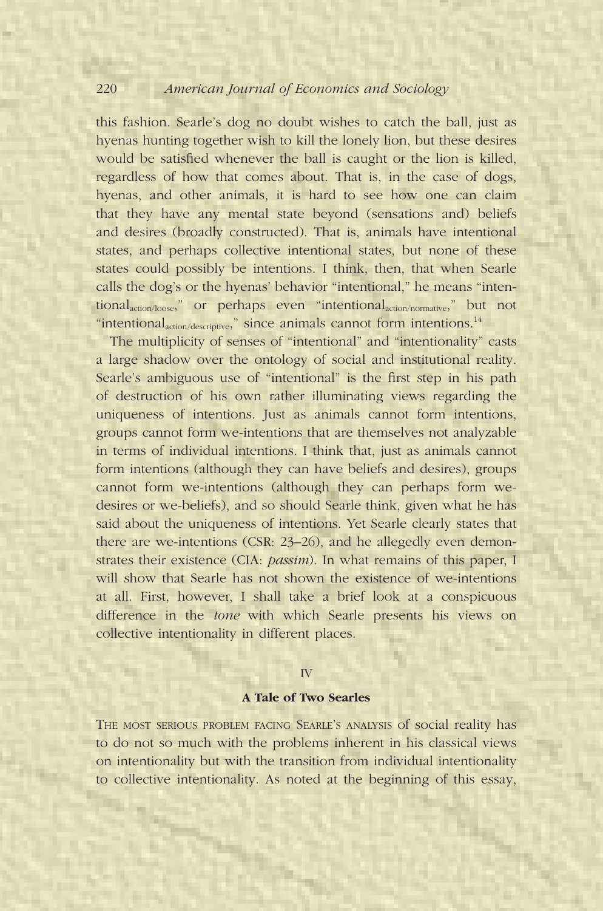this fashion. Searle's dog no doubt wishes to catch the ball, just as hyenas hunting together wish to kill the lonely lion, but these desires would be satisfied whenever the ball is caught or the lion is killed, regardless of how that comes about. That is, in the case of dogs, hyenas, and other animals, it is hard to see how one can claim that they have any mental state beyond (sensations and) beliefs and desires (broadly constructed). That is, animals have intentional states, and perhaps collective intentional states, but none of these states could possibly be intentions. I think, then, that when Searle calls the dog's or the hyenas' behavior "intentional," he means "intentionalaction/loose," or perhaps even "intentionalaction/normative," but not "intentional<sub>action</sub>/descriptive," since animals cannot form intentions.<sup>14</sup>

The multiplicity of senses of "intentional" and "intentionality" casts a large shadow over the ontology of social and institutional reality. Searle's ambiguous use of "intentional" is the first step in his path of destruction of his own rather illuminating views regarding the uniqueness of intentions. Just as animals cannot form intentions, groups cannot form we-intentions that are themselves not analyzable in terms of individual intentions. I think that, just as animals cannot form intentions (although they can have beliefs and desires), groups cannot form we-intentions (although they can perhaps form wedesires or we-beliefs), and so should Searle think, given what he has said about the uniqueness of intentions. Yet Searle clearly states that there are we-intentions (CSR: 23–26), and he allegedly even demonstrates their existence (CIA: *passim*). In what remains of this paper, I will show that Searle has not shown the existence of we-intentions at all. First, however, I shall take a brief look at a conspicuous difference in the *tone* with which Searle presents his views on collective intentionality in different places.

#### IV

# **A Tale of Two Searles**

THE MOST SERIOUS PROBLEM FACING SEARLE'S ANALYSIS of social reality has to do not so much with the problems inherent in his classical views on intentionality but with the transition from individual intentionality to collective intentionality. As noted at the beginning of this essay,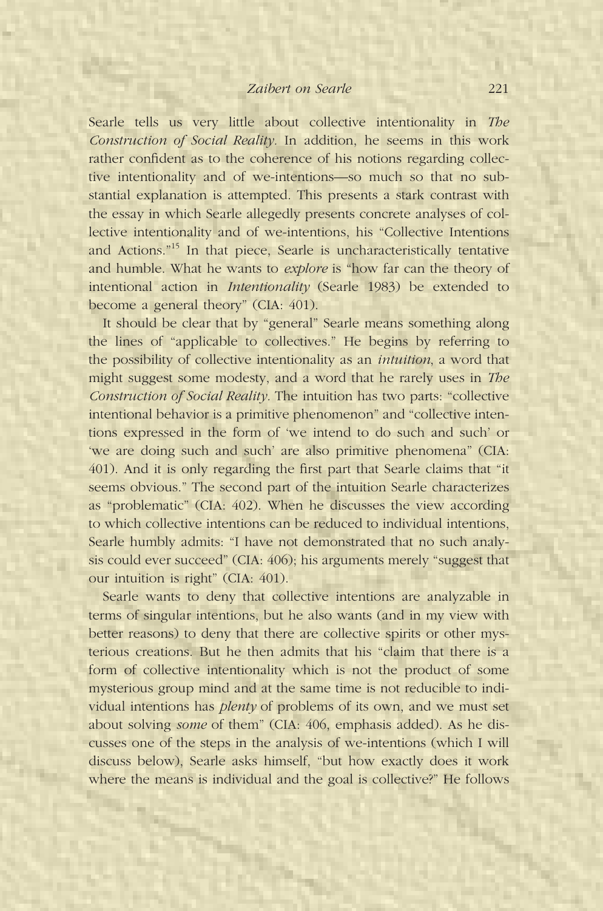Searle tells us very little about collective intentionality in *The Construction of Social Reality.* In addition, he seems in this work rather confident as to the coherence of his notions regarding collective intentionality and of we-intentions—so much so that no substantial explanation is attempted. This presents a stark contrast with the essay in which Searle allegedly presents concrete analyses of collective intentionality and of we-intentions, his "Collective Intentions and Actions."15 In that piece, Searle is uncharacteristically tentative and humble. What he wants to *explore* is "how far can the theory of intentional action in *Intentionality* (Searle 1983) be extended to become a general theory" (CIA: 401).

It should be clear that by "general" Searle means something along the lines of "applicable to collectives." He begins by referring to the possibility of collective intentionality as an *intuition*, a word that might suggest some modesty, and a word that he rarely uses in *The Construction of Social Reality.* The intuition has two parts: "collective intentional behavior is a primitive phenomenon" and "collective intentions expressed in the form of 'we intend to do such and such' or 'we are doing such and such' are also primitive phenomena" (CIA: 401). And it is only regarding the first part that Searle claims that "it seems obvious." The second part of the intuition Searle characterizes as "problematic" (CIA: 402). When he discusses the view according to which collective intentions can be reduced to individual intentions, Searle humbly admits: "I have not demonstrated that no such analysis could ever succeed" (CIA: 406); his arguments merely "suggest that our intuition is right" (CIA: 401).

Searle wants to deny that collective intentions are analyzable in terms of singular intentions, but he also wants (and in my view with better reasons) to deny that there are collective spirits or other mysterious creations. But he then admits that his "claim that there is a form of collective intentionality which is not the product of some mysterious group mind and at the same time is not reducible to individual intentions has *plenty* of problems of its own, and we must set about solving *some* of them" (CIA: 406, emphasis added). As he discusses one of the steps in the analysis of we-intentions (which I will discuss below), Searle asks himself, "but how exactly does it work where the means is individual and the goal is collective?" He follows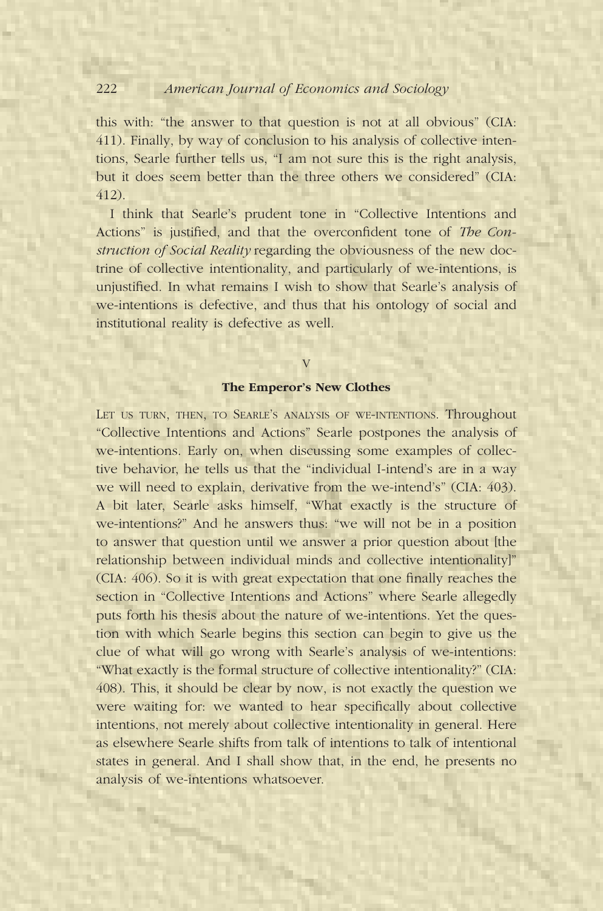this with: "the answer to that question is not at all obvious" (CIA: 411). Finally, by way of conclusion to his analysis of collective intentions, Searle further tells us, "I am not sure this is the right analysis, but it does seem better than the three others we considered" (CIA: 412).

I think that Searle's prudent tone in "Collective Intentions and Actions" is justified, and that the overconfident tone of *The Construction of Social Reality* regarding the obviousness of the new doctrine of collective intentionality, and particularly of we-intentions, is unjustified. In what remains I wish to show that Searle's analysis of we-intentions is defective, and thus that his ontology of social and institutional reality is defective as well.

# V **The Emperor's New Clothes**

LET US TURN, THEN, TO SEARLE'S ANALYSIS OF WE-INTENTIONS. Throughout "Collective Intentions and Actions" Searle postpones the analysis of we-intentions. Early on, when discussing some examples of collective behavior, he tells us that the "individual I-intend's are in a way we will need to explain, derivative from the we-intend's" (CIA: 403). A bit later, Searle asks himself, "What exactly is the structure of we-intentions?" And he answers thus: "we will not be in a position to answer that question until we answer a prior question about [the relationship between individual minds and collective intentionality]" (CIA: 406). So it is with great expectation that one finally reaches the section in "Collective Intentions and Actions" where Searle allegedly puts forth his thesis about the nature of we-intentions. Yet the question with which Searle begins this section can begin to give us the clue of what will go wrong with Searle's analysis of we-intentions: "What exactly is the formal structure of collective intentionality?" (CIA: 408). This, it should be clear by now, is not exactly the question we were waiting for: we wanted to hear specifically about collective intentions, not merely about collective intentionality in general. Here as elsewhere Searle shifts from talk of intentions to talk of intentional states in general. And I shall show that, in the end, he presents no analysis of we-intentions whatsoever.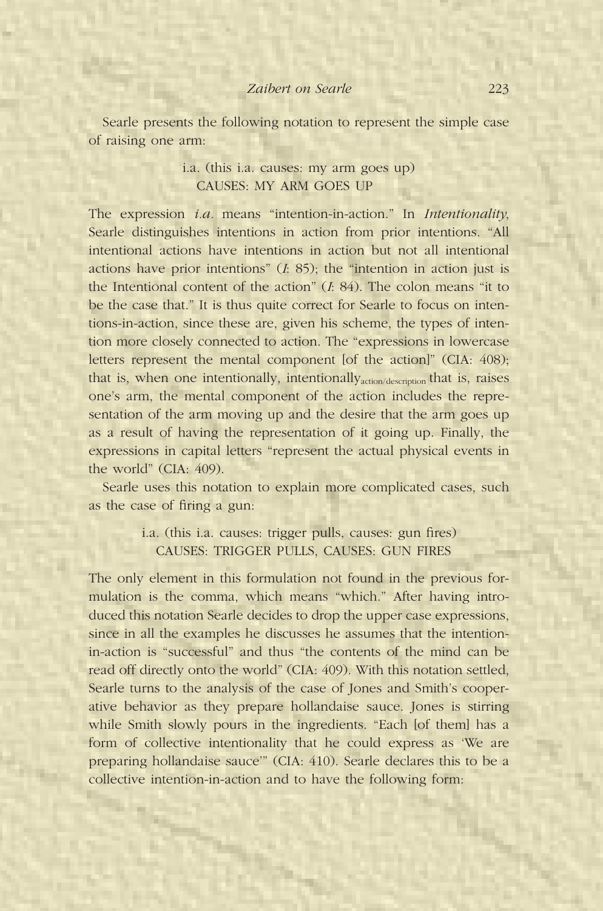Searle presents the following notation to represent the simple case of raising one arm:

> i.a. (this i.a. causes: my arm goes up) CAUSES: MY ARM GOES UP

The expression *i.a.* means "intention-in-action." In *Intentionality*, Searle distinguishes intentions in action from prior intentions. "All intentional actions have intentions in action but not all intentional actions have prior intentions" (*I*: 85); the "intention in action just is the Intentional content of the action" (*I*: 84). The colon means "it to be the case that." It is thus quite correct for Searle to focus on intentions-in-action, since these are, given his scheme, the types of intention more closely connected to action. The "expressions in lowercase letters represent the mental component [of the action]" (CIA: 408); that is, when one intentionally, intentionally<sub>action</sub>/description that is, raises one's arm, the mental component of the action includes the representation of the arm moving up and the desire that the arm goes up as a result of having the representation of it going up. Finally, the expressions in capital letters "represent the actual physical events in the world" (CIA: 409).

Searle uses this notation to explain more complicated cases, such as the case of firing a gun:

> i.a. (this i.a. causes: trigger pulls, causes: gun fires) CAUSES: TRIGGER PULLS, CAUSES: GUN FIRES

The only element in this formulation not found in the previous formulation is the comma, which means "which." After having introduced this notation Searle decides to drop the upper case expressions, since in all the examples he discusses he assumes that the intentionin-action is "successful" and thus "the contents of the mind can be read off directly onto the world" (CIA: 409). With this notation settled, Searle turns to the analysis of the case of Jones and Smith's cooperative behavior as they prepare hollandaise sauce. Jones is stirring while Smith slowly pours in the ingredients. "Each [of them] has a form of collective intentionality that he could express as 'We are preparing hollandaise sauce'" (CIA: 410). Searle declares this to be a collective intention-in-action and to have the following form: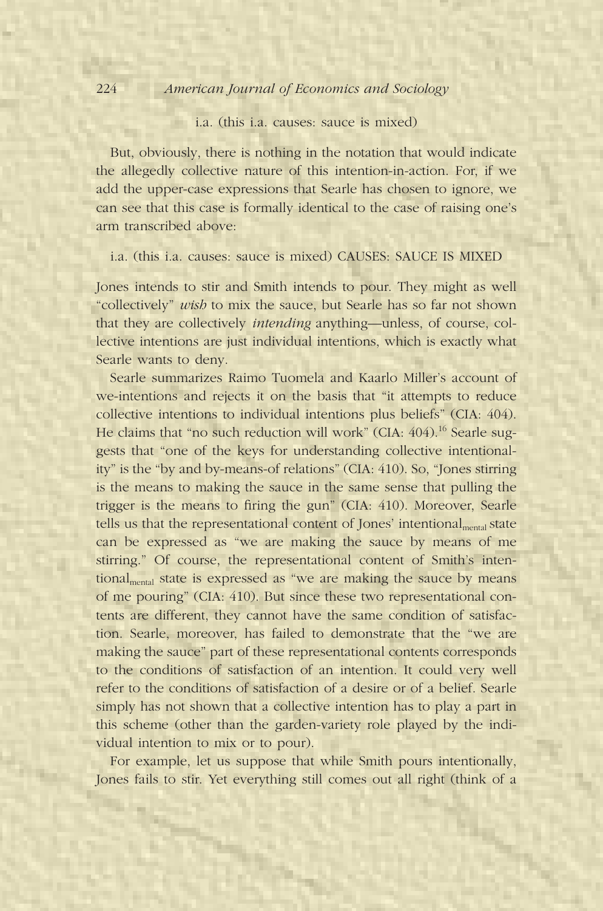### i.a. (this i.a. causes: sauce is mixed)

But, obviously, there is nothing in the notation that would indicate the allegedly collective nature of this intention-in-action. For, if we add the upper-case expressions that Searle has chosen to ignore, we can see that this case is formally identical to the case of raising one's arm transcribed above:

# i.a. (this i.a. causes: sauce is mixed) CAUSES: SAUCE IS MIXED

Jones intends to stir and Smith intends to pour. They might as well "collectively" *wish* to mix the sauce, but Searle has so far not shown that they are collectively *intending* anything—unless, of course, collective intentions are just individual intentions, which is exactly what Searle wants to deny.

Searle summarizes Raimo Tuomela and Kaarlo Miller's account of we-intentions and rejects it on the basis that "it attempts to reduce collective intentions to individual intentions plus beliefs" (CIA: 404). He claims that "no such reduction will work" (CIA: 404).<sup>16</sup> Searle suggests that "one of the keys for understanding collective intentionality" is the "by and by-means-of relations" (CIA: 410). So, "Jones stirring is the means to making the sauce in the same sense that pulling the trigger is the means to firing the gun" (CIA: 410). Moreover, Searle tells us that the representational content of Jones' intentional<sub>mental</sub> state can be expressed as "we are making the sauce by means of me stirring." Of course, the representational content of Smith's inten- $\text{tional}_{\text{mental}}$  state is expressed as "we are making the sauce by means" of me pouring" (CIA: 410). But since these two representational contents are different, they cannot have the same condition of satisfaction. Searle, moreover, has failed to demonstrate that the "we are making the sauce" part of these representational contents corresponds to the conditions of satisfaction of an intention. It could very well refer to the conditions of satisfaction of a desire or of a belief. Searle simply has not shown that a collective intention has to play a part in this scheme (other than the garden-variety role played by the individual intention to mix or to pour).

For example, let us suppose that while Smith pours intentionally, Jones fails to stir. Yet everything still comes out all right (think of a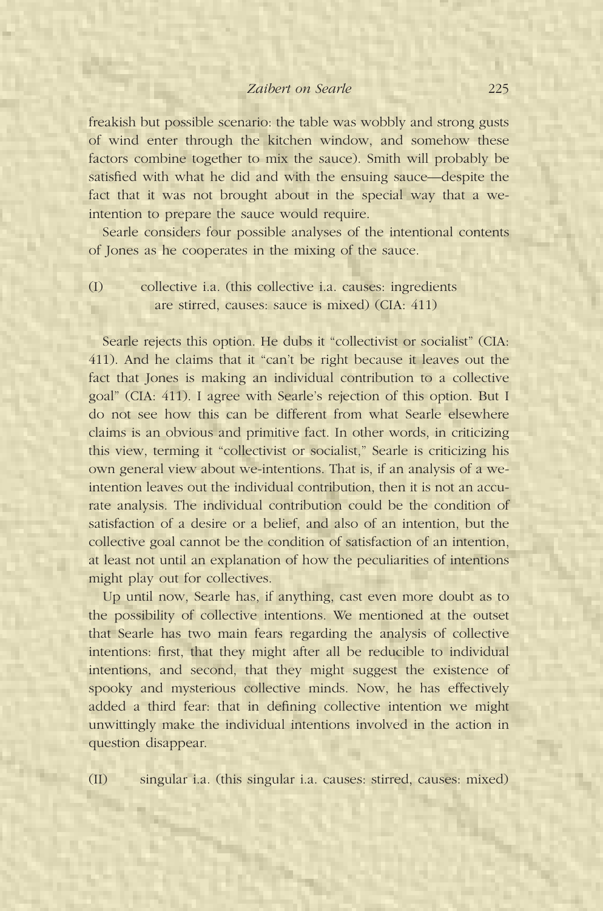freakish but possible scenario: the table was wobbly and strong gusts of wind enter through the kitchen window, and somehow these factors combine together to mix the sauce). Smith will probably be satisfied with what he did and with the ensuing sauce—despite the fact that it was not brought about in the special way that a weintention to prepare the sauce would require.

Searle considers four possible analyses of the intentional contents of Jones as he cooperates in the mixing of the sauce.

(I) collective i.a. (this collective i.a. causes: ingredients are stirred, causes: sauce is mixed) (CIA: 411)

Searle rejects this option. He dubs it "collectivist or socialist" (CIA: 411). And he claims that it "can't be right because it leaves out the fact that Jones is making an individual contribution to a collective goal" (CIA: 411). I agree with Searle's rejection of this option. But I do not see how this can be different from what Searle elsewhere claims is an obvious and primitive fact. In other words, in criticizing this view, terming it "collectivist or socialist," Searle is criticizing his own general view about we-intentions. That is, if an analysis of a weintention leaves out the individual contribution, then it is not an accurate analysis. The individual contribution could be the condition of satisfaction of a desire or a belief, and also of an intention, but the collective goal cannot be the condition of satisfaction of an intention, at least not until an explanation of how the peculiarities of intentions might play out for collectives.

Up until now, Searle has, if anything, cast even more doubt as to the possibility of collective intentions. We mentioned at the outset that Searle has two main fears regarding the analysis of collective intentions: first, that they might after all be reducible to individual intentions, and second, that they might suggest the existence of spooky and mysterious collective minds. Now, he has effectively added a third fear: that in defining collective intention we might unwittingly make the individual intentions involved in the action in question disappear.

(II) singular i.a. (this singular i.a. causes: stirred, causes: mixed)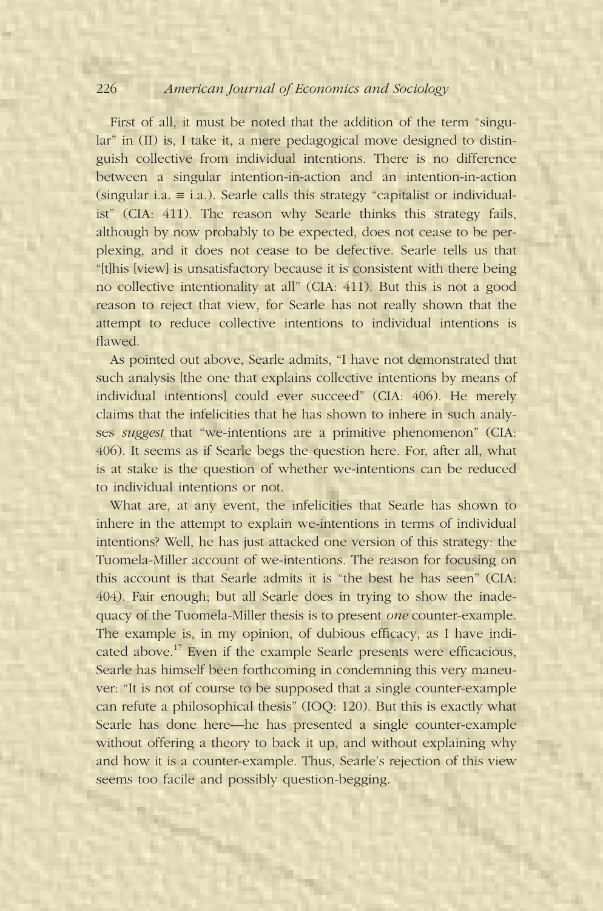First of all, it must be noted that the addition of the term "singular" in (II) is, I take it, a mere pedagogical move designed to distinguish collective from individual intentions. There is no difference between a singular intention-in-action and an intention-in-action (singular i.a.  $\equiv$  i.a.). Searle calls this strategy "capitalist or individualist" (CIA: 411). The reason why Searle thinks this strategy fails, although by now probably to be expected, does not cease to be perplexing, and it does not cease to be defective. Searle tells us that "[t]his [view] is unsatisfactory because it is consistent with there being no collective intentionality at all" (CIA: 411). But this is not a good reason to reject that view, for Searle has not really shown that the attempt to reduce collective intentions to individual intentions is flawed.

As pointed out above, Searle admits, "I have not demonstrated that such analysis [the one that explains collective intentions by means of individual intentions] could ever succeed" (CIA: 406). He merely claims that the infelicities that he has shown to inhere in such analyses *suggest* that "we-intentions are a primitive phenomenon" (CIA: 406). It seems as if Searle begs the question here. For, after all, what is at stake is the question of whether we-intentions can be reduced to individual intentions or not.

What are, at any event, the infelicities that Searle has shown to inhere in the attempt to explain we-intentions in terms of individual intentions? Well, he has just attacked one version of this strategy: the Tuomela-Miller account of we-intentions. The reason for focusing on this account is that Searle admits it is "the best he has seen" (CIA: 404). Fair enough; but all Searle does in trying to show the inadequacy of the Tuomela-Miller thesis is to present *one* counter-example. The example is, in my opinion, of dubious efficacy, as I have indicated above.<sup>17</sup> Even if the example Searle presents were efficacious, Searle has himself been forthcoming in condemning this very maneuver: "It is not of course to be supposed that a single counter-example can refute a philosophical thesis" (IOQ: 120). But this is exactly what Searle has done here—he has presented a single counter-example without offering a theory to back it up, and without explaining why and how it is a counter-example. Thus, Searle's rejection of this view seems too facile and possibly question-begging.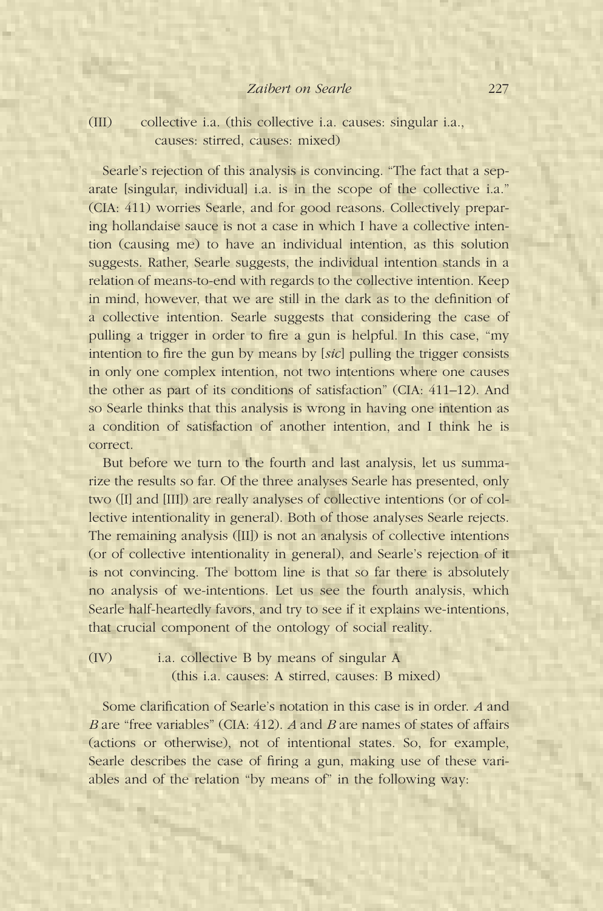(III) collective i.a. (this collective i.a. causes: singular i.a., causes: stirred, causes: mixed)

Searle's rejection of this analysis is convincing. "The fact that a separate [singular, individual] i.a. is in the scope of the collective i.a." (CIA: 411) worries Searle, and for good reasons. Collectively preparing hollandaise sauce is not a case in which I have a collective intention (causing me) to have an individual intention, as this solution suggests. Rather, Searle suggests, the individual intention stands in a relation of means-to-end with regards to the collective intention. Keep in mind, however, that we are still in the dark as to the definition of a collective intention. Searle suggests that considering the case of pulling a trigger in order to fire a gun is helpful. In this case, "my intention to fire the gun by means by [*sic*] pulling the trigger consists in only one complex intention, not two intentions where one causes the other as part of its conditions of satisfaction" (CIA: 411–12). And so Searle thinks that this analysis is wrong in having one intention as a condition of satisfaction of another intention, and I think he is correct.

But before we turn to the fourth and last analysis, let us summarize the results so far. Of the three analyses Searle has presented, only two ([I] and [III]) are really analyses of collective intentions (or of collective intentionality in general). Both of those analyses Searle rejects. The remaining analysis ([II]) is not an analysis of collective intentions (or of collective intentionality in general), and Searle's rejection of it is not convincing. The bottom line is that so far there is absolutely no analysis of we-intentions. Let us see the fourth analysis, which Searle half-heartedly favors, and try to see if it explains we-intentions, that crucial component of the ontology of social reality.

(IV) i.a. collective B by means of singular A (this i.a. causes: A stirred, causes: B mixed)

Some clarification of Searle's notation in this case is in order. *A* and *B* are "free variables" (CIA: 412). *A* and *B* are names of states of affairs (actions or otherwise), not of intentional states. So, for example, Searle describes the case of firing a gun, making use of these variables and of the relation "by means of" in the following way: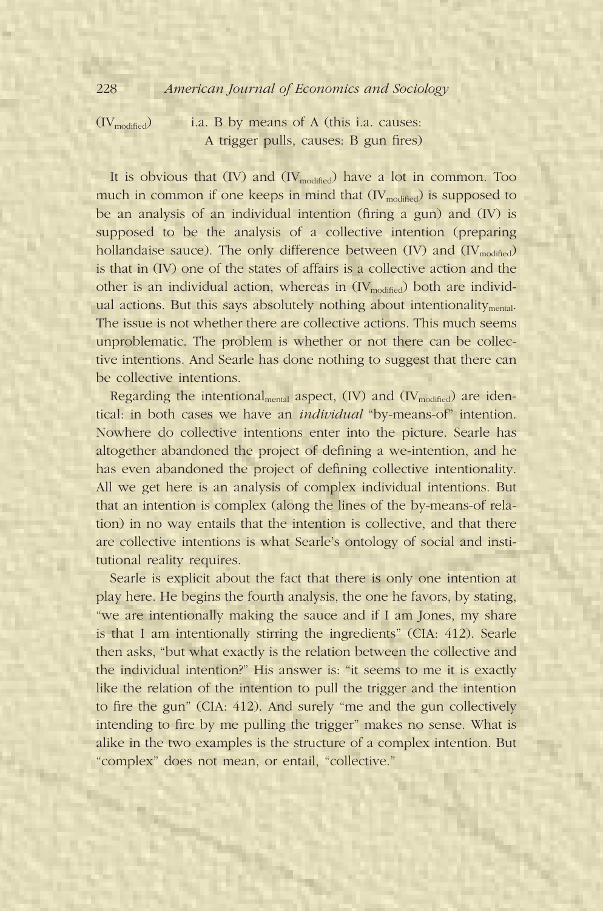# $(IV<sub>modified</sub>)$  i.a. B by means of A (this i.a. causes: A trigger pulls, causes: B gun fires)

It is obvious that  $(IV)$  and  $(IV_{modified})$  have a lot in common. Too much in common if one keeps in mind that  $(V_{\text{modified}})$  is supposed to be an analysis of an individual intention (firing a gun) and (IV) is supposed to be the analysis of a collective intention (preparing hollandaise sauce). The only difference between  $(IV)$  and  $(IV<sub>modified</sub>)$ is that in (IV) one of the states of affairs is a collective action and the other is an individual action, whereas in  $(V_{\text{modified}})$  both are individual actions. But this says absolutely nothing about intentionality  $_{\text{mental}}$ . The issue is not whether there are collective actions. This much seems unproblematic. The problem is whether or not there can be collective intentions. And Searle has done nothing to suggest that there can be collective intentions.

Regarding the intentional<sub>mental</sub> aspect,  $(IV)$  and  $(IV_{modified})$  are identical: in both cases we have an *individual* "by-means-of" intention. Nowhere do collective intentions enter into the picture. Searle has altogether abandoned the project of defining a we-intention, and he has even abandoned the project of defining collective intentionality. All we get here is an analysis of complex individual intentions. But that an intention is complex (along the lines of the by-means-of relation) in no way entails that the intention is collective, and that there are collective intentions is what Searle's ontology of social and institutional reality requires.

Searle is explicit about the fact that there is only one intention at play here. He begins the fourth analysis, the one he favors, by stating, "we are intentionally making the sauce and if I am Jones, my share is that I am intentionally stirring the ingredients" (CIA: 412). Searle then asks, "but what exactly is the relation between the collective and the individual intention?" His answer is: "it seems to me it is exactly like the relation of the intention to pull the trigger and the intention to fire the gun" (CIA: 412). And surely "me and the gun collectively intending to fire by me pulling the trigger" makes no sense. What is alike in the two examples is the structure of a complex intention. But "complex" does not mean, or entail, "collective."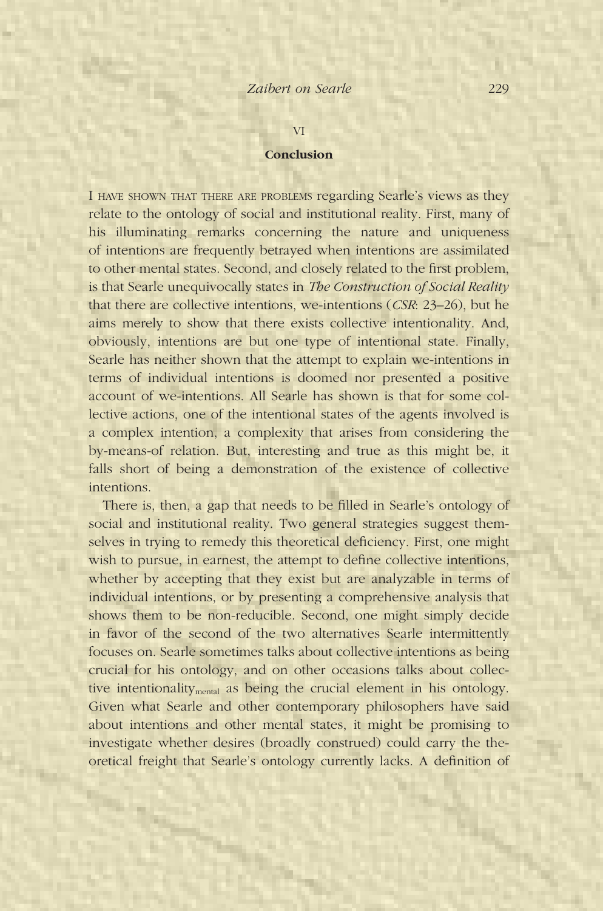VI

#### **Conclusion**

I HAVE SHOWN THAT THERE ARE PROBLEMS regarding Searle's views as they relate to the ontology of social and institutional reality. First, many of his illuminating remarks concerning the nature and uniqueness of intentions are frequently betrayed when intentions are assimilated to other mental states. Second, and closely related to the first problem, is that Searle unequivocally states in *The Construction of Social Reality* that there are collective intentions, we-intentions (*CSR*: 23–26), but he aims merely to show that there exists collective intentionality. And, obviously, intentions are but one type of intentional state. Finally, Searle has neither shown that the attempt to explain we-intentions in terms of individual intentions is doomed nor presented a positive account of we-intentions. All Searle has shown is that for some collective actions, one of the intentional states of the agents involved is a complex intention, a complexity that arises from considering the by-means-of relation. But, interesting and true as this might be, it falls short of being a demonstration of the existence of collective intentions.

There is, then, a gap that needs to be filled in Searle's ontology of social and institutional reality. Two general strategies suggest themselves in trying to remedy this theoretical deficiency. First, one might wish to pursue, in earnest, the attempt to define collective intentions, whether by accepting that they exist but are analyzable in terms of individual intentions, or by presenting a comprehensive analysis that shows them to be non-reducible. Second, one might simply decide in favor of the second of the two alternatives Searle intermittently focuses on. Searle sometimes talks about collective intentions as being crucial for his ontology, and on other occasions talks about collective intentionality<sub>mental</sub> as being the crucial element in his ontology. Given what Searle and other contemporary philosophers have said about intentions and other mental states, it might be promising to investigate whether desires (broadly construed) could carry the theoretical freight that Searle's ontology currently lacks. A definition of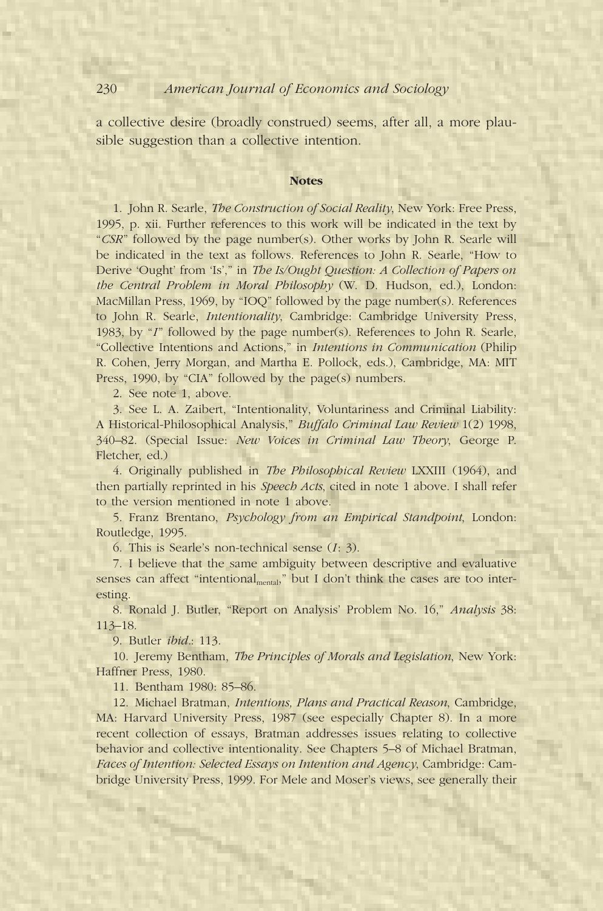a collective desire (broadly construed) seems, after all, a more plausible suggestion than a collective intention.

#### **Notes**

1. John R. Searle, *The Construction of Social Reality*, New York: Free Press, 1995, p. xii. Further references to this work will be indicated in the text by "*CSR*" followed by the page number(s). Other works by John R. Searle will be indicated in the text as follows. References to John R. Searle, "How to Derive 'Ought' from 'Is'," in *The Is/Ought Question: A Collection of Papers on the Central Problem in Moral Philosophy* (W. D. Hudson, ed.), London: MacMillan Press, 1969, by "IOQ" followed by the page number(s). References to John R. Searle, *Intentionality*, Cambridge: Cambridge University Press, 1983, by "*I*" followed by the page number(s). References to John R. Searle, "Collective Intentions and Actions," in *Intentions in Communication* (Philip R. Cohen, Jerry Morgan, and Martha E. Pollock, eds.), Cambridge, MA: MIT Press, 1990, by "CIA" followed by the page(s) numbers.

2. See note 1, above.

3. See L. A. Zaibert, "Intentionality, Voluntariness and Criminal Liability: A Historical-Philosophical Analysis," *Buffalo Criminal Law Review* 1(2) 1998, 340–82. (Special Issue: *New Voices in Criminal Law Theory*, George P. Fletcher, ed.)

4. Originally published in *The Philosophical Review* LXXIII (1964), and then partially reprinted in his *Speech Acts*, cited in note 1 above. I shall refer to the version mentioned in note 1 above.

5. Franz Brentano, *Psychology from an Empirical Standpoint*, London: Routledge, 1995.

6. This is Searle's non-technical sense (*I*: 3).

7. I believe that the same ambiguity between descriptive and evaluative senses can affect "intentional<sub>mental</sub>," but I don't think the cases are too interesting.

8. Ronald J. Butler, "Report on Analysis' Problem No. 16," *Analysis* 38: 113–18.

9. Butler *ibid.*: 113.

10. Jeremy Bentham, *The Principles of Morals and Legislation*, New York: Haffner Press, 1980.

11. Bentham 1980: 85–86.

12. Michael Bratman, *Intentions, Plans and Practical Reason*, Cambridge, MA: Harvard University Press, 1987 (see especially Chapter 8). In a more recent collection of essays, Bratman addresses issues relating to collective behavior and collective intentionality. See Chapters 5–8 of Michael Bratman, *Faces of Intention: Selected Essays on Intention and Agency*, Cambridge: Cambridge University Press, 1999. For Mele and Moser's views, see generally their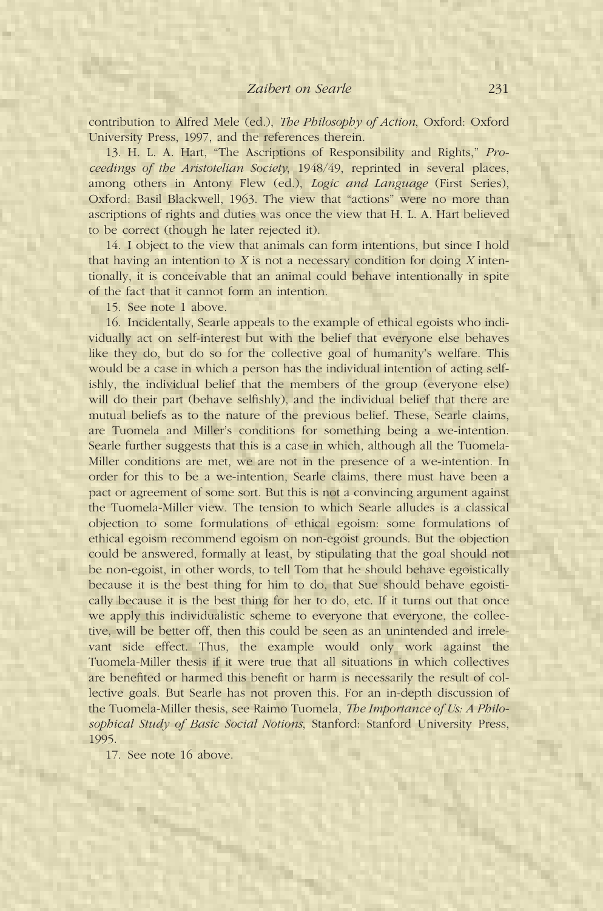contribution to Alfred Mele (ed.), *The Philosophy of Action*, Oxford: Oxford University Press, 1997, and the references therein.

13. H. L. A. Hart, "The Ascriptions of Responsibility and Rights," *Proceedings of the Aristotelian Society*, 1948/49, reprinted in several places, among others in Antony Flew (ed.), *Logic and Language* (First Series), Oxford: Basil Blackwell, 1963. The view that "actions" were no more than ascriptions of rights and duties was once the view that H. L. A. Hart believed to be correct (though he later rejected it).

14. I object to the view that animals can form intentions, but since I hold that having an intention to *X* is not a necessary condition for doing *X* intentionally, it is conceivable that an animal could behave intentionally in spite of the fact that it cannot form an intention.

15. See note 1 above.

16. Incidentally, Searle appeals to the example of ethical egoists who individually act on self-interest but with the belief that everyone else behaves like they do, but do so for the collective goal of humanity's welfare. This would be a case in which a person has the individual intention of acting selfishly, the individual belief that the members of the group (everyone else) will do their part (behave selfishly), and the individual belief that there are mutual beliefs as to the nature of the previous belief. These, Searle claims, are Tuomela and Miller's conditions for something being a we-intention. Searle further suggests that this is a case in which, although all the Tuomela-Miller conditions are met, we are not in the presence of a we-intention. In order for this to be a we-intention, Searle claims, there must have been a pact or agreement of some sort. But this is not a convincing argument against the Tuomela-Miller view. The tension to which Searle alludes is a classical objection to some formulations of ethical egoism: some formulations of ethical egoism recommend egoism on non-egoist grounds. But the objection could be answered, formally at least, by stipulating that the goal should not be non-egoist, in other words, to tell Tom that he should behave egoistically because it is the best thing for him to do, that Sue should behave egoistically because it is the best thing for her to do, etc. If it turns out that once we apply this individualistic scheme to everyone that everyone, the collective, will be better off, then this could be seen as an unintended and irrelevant side effect. Thus, the example would only work against the Tuomela-Miller thesis if it were true that all situations in which collectives are benefited or harmed this benefit or harm is necessarily the result of collective goals. But Searle has not proven this. For an in-depth discussion of the Tuomela-Miller thesis, see Raimo Tuomela, *The Importance of Us: A Philosophical Study of Basic Social Notions*, Stanford: Stanford University Press, 1995.

17. See note 16 above.